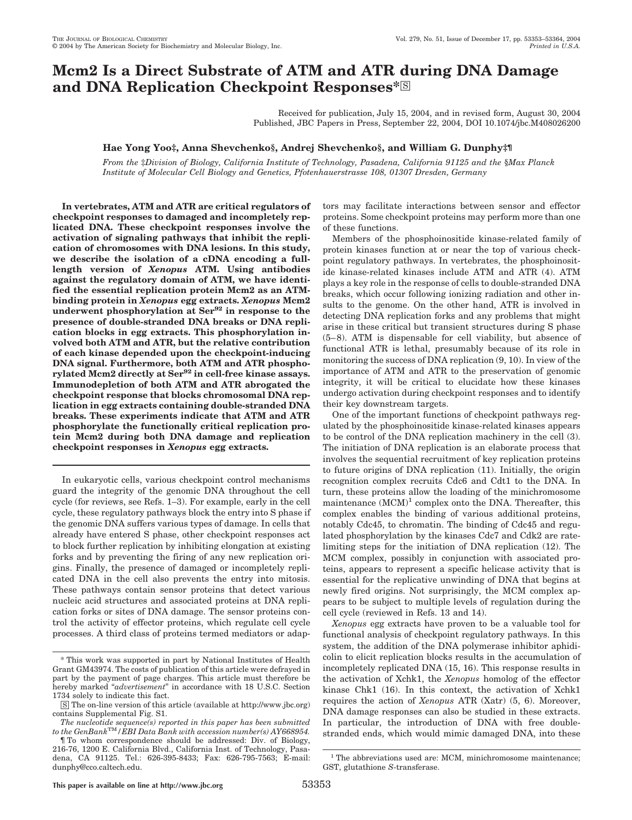# **Mcm2 Is a Direct Substrate of ATM and ATR during DNA Damage and DNA Replication Checkpoint Responses**\*<sup>SS</sup>

Received for publication, July 15, 2004, and in revised form, August 30, 2004 Published, JBC Papers in Press, September 22, 2004, DOI 10.1074/jbc.M408026200

# **Hae Yong Yoo‡, Anna Shevchenko§, Andrej Shevchenko§, and William G. Dunphy‡¶**

*From the* ‡*Division of Biology, California Institute of Technology, Pasadena, California 91125 and the* §*Max Planck Institute of Molecular Cell Biology and Genetics, Pfotenhauerstrasse 108, 01307 Dresden, Germany*

**In vertebrates, ATM and ATR are critical regulators of checkpoint responses to damaged and incompletely replicated DNA. These checkpoint responses involve the activation of signaling pathways that inhibit the replication of chromosomes with DNA lesions. In this study, we describe the isolation of a cDNA encoding a fulllength version of** *Xenopus* **ATM. Using antibodies against the regulatory domain of ATM, we have identified the essential replication protein Mcm2 as an ATMbinding protein in** *Xenopus* **egg extracts.** *Xenopus* **Mcm2 underwent phosphorylation at Ser92 in response to the presence of double-stranded DNA breaks or DNA replication blocks in egg extracts. This phosphorylation involved both ATM and ATR, but the relative contribution of each kinase depended upon the checkpoint-inducing DNA signal. Furthermore, both ATM and ATR phosphorylated Mcm2 directly at Ser92 in cell-free kinase assays. Immunodepletion of both ATM and ATR abrogated the checkpoint response that blocks chromosomal DNA replication in egg extracts containing double-stranded DNA breaks. These experiments indicate that ATM and ATR phosphorylate the functionally critical replication protein Mcm2 during both DNA damage and replication checkpoint responses in** *Xenopus* **egg extracts.**

In eukaryotic cells, various checkpoint control mechanisms guard the integrity of the genomic DNA throughout the cell cycle (for reviews, see Refs. 1–3). For example, early in the cell cycle, these regulatory pathways block the entry into S phase if the genomic DNA suffers various types of damage. In cells that already have entered S phase, other checkpoint responses act to block further replication by inhibiting elongation at existing forks and by preventing the firing of any new replication origins. Finally, the presence of damaged or incompletely replicated DNA in the cell also prevents the entry into mitosis. These pathways contain sensor proteins that detect various nucleic acid structures and associated proteins at DNA replication forks or sites of DNA damage. The sensor proteins control the activity of effector proteins, which regulate cell cycle processes. A third class of proteins termed mediators or adaptors may facilitate interactions between sensor and effector proteins. Some checkpoint proteins may perform more than one of these functions.

Members of the phosphoinositide kinase-related family of protein kinases function at or near the top of various checkpoint regulatory pathways. In vertebrates, the phosphoinositide kinase-related kinases include ATM and ATR (4). ATM plays a key role in the response of cells to double-stranded DNA breaks, which occur following ionizing radiation and other insults to the genome. On the other hand, ATR is involved in detecting DNA replication forks and any problems that might arise in these critical but transient structures during S phase (5– 8). ATM is dispensable for cell viability, but absence of functional ATR is lethal, presumably because of its role in monitoring the success of DNA replication (9, 10). In view of the importance of ATM and ATR to the preservation of genomic integrity, it will be critical to elucidate how these kinases undergo activation during checkpoint responses and to identify their key downstream targets.

One of the important functions of checkpoint pathways regulated by the phosphoinositide kinase-related kinases appears to be control of the DNA replication machinery in the cell (3). The initiation of DNA replication is an elaborate process that involves the sequential recruitment of key replication proteins to future origins of DNA replication (11). Initially, the origin recognition complex recruits Cdc6 and Cdt1 to the DNA. In turn, these proteins allow the loading of the minichromosome maintenance  $(MCM)^1$  complex onto the DNA. Thereafter, this complex enables the binding of various additional proteins, notably Cdc45, to chromatin. The binding of Cdc45 and regulated phosphorylation by the kinases Cdc7 and Cdk2 are ratelimiting steps for the initiation of DNA replication (12). The MCM complex, possibly in conjunction with associated proteins, appears to represent a specific helicase activity that is essential for the replicative unwinding of DNA that begins at newly fired origins. Not surprisingly, the MCM complex appears to be subject to multiple levels of regulation during the cell cycle (reviewed in Refs. 13 and 14).

*Xenopus* egg extracts have proven to be a valuable tool for functional analysis of checkpoint regulatory pathways. In this system, the addition of the DNA polymerase inhibitor aphidicolin to elicit replication blocks results in the accumulation of incompletely replicated DNA (15, 16). This response results in the activation of Xchk1, the *Xenopus* homolog of the effector kinase Chk1 (16). In this context, the activation of Xchk1 requires the action of *Xenopus* ATR (Xatr) (5, 6). Moreover, DNA damage responses can also be studied in these extracts. In particular, the introduction of DNA with free doublestranded ends, which would mimic damaged DNA, into these

<sup>\*</sup> This work was supported in part by National Institutes of Health Grant GM43974. The costs of publication of this article were defrayed in part by the payment of page charges. This article must therefore be hereby marked "*advertisement*" in accordance with 18 U.S.C. Section 1734 solely to indicate this fact.

<sup>□</sup>S The on-line version of this article (available at http://www.jbc.org) contains Supplemental Fig. S1.

*The nucleotide sequence(s) reported in this paper has been submitted to the GenBank*TM*/EBI Data Bank with accession number(s) AY668954.*

<sup>¶</sup> To whom correspondence should be addressed: Div. of Biology, 216-76, 1200 E. California Blvd., California Inst. of Technology, Pasadena, CA 91125. Tel.: 626-395-8433; Fax: 626-795-7563; E-mail: dunphy@cco.caltech.edu.

**This paper is available on line at http://www.jbc.org** 53353

<sup>&</sup>lt;sup>1</sup> The abbreviations used are: MCM, minichromosome maintenance; GST, glutathione *S*-transferase.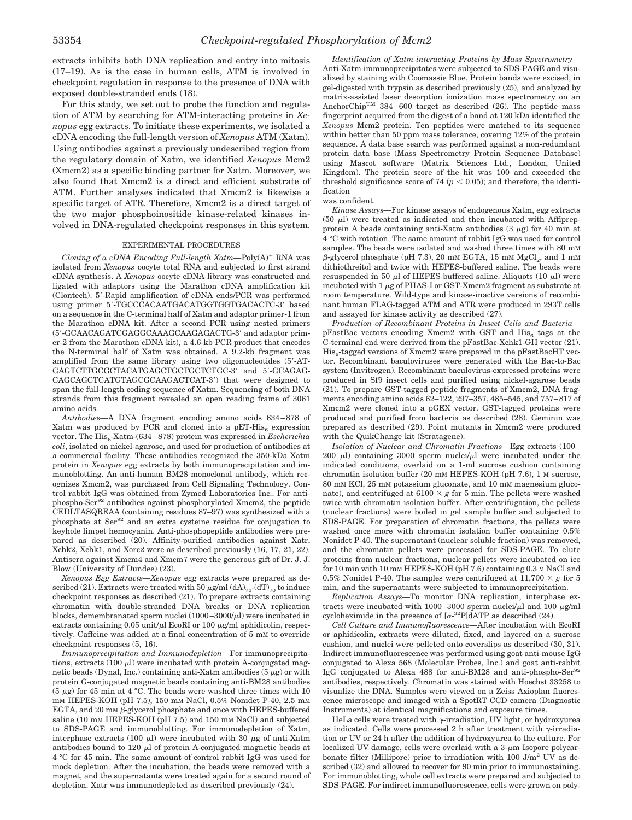extracts inhibits both DNA replication and entry into mitosis (17–19). As is the case in human cells, ATM is involved in checkpoint regulation in response to the presence of DNA with exposed double-stranded ends (18).

For this study, we set out to probe the function and regulation of ATM by searching for ATM-interacting proteins in *Xenopus* egg extracts. To initiate these experiments, we isolated a cDNA encoding the full-length version of *Xenopus* ATM (Xatm). Using antibodies against a previously undescribed region from the regulatory domain of Xatm, we identified *Xenopus* Mcm2 (Xmcm2) as a specific binding partner for Xatm. Moreover, we also found that Xmcm2 is a direct and efficient substrate of ATM. Further analyses indicated that Xmcm2 is likewise a specific target of ATR. Therefore, Xmcm2 is a direct target of the two major phosphoinositide kinase-related kinases involved in DNA-regulated checkpoint responses in this system.

#### EXPERIMENTAL PROCEDURES

*Cloning of a cDNA Encoding Full-length Xatm—Poly(A)<sup>+</sup> RNA was* isolated from *Xenopus* oocyte total RNA and subjected to first strand cDNA synthesis. A *Xenopus* oocyte cDNA library was constructed and ligated with adaptors using the Marathon cDNA amplification kit (Clontech). 5--Rapid amplification of cDNA ends/PCR was performed using primer 5'-TGCCCACAATGACATGGTGGTGACACTC-3' based on a sequence in the C-terminal half of Xatm and adaptor primer-1 from the Marathon cDNA kit. After a second PCR using nested primers (5--GCAACAGATCGAGGCAAAGCAAGAGACTG-3- and adaptor primer-2 from the Marathon cDNA kit), a 4.6-kb PCR product that encodes the N-terminal half of Xatm was obtained. A 9.2-kb fragment was amplified from the same library using two oligonucleotides (5--AT-GAGTCTTGCGCTACATGAGCTGCTGCTCTGC-3' and 5'-GCAGAG-CAGCAGCTCATGTAGCGCAAGACTCAT-3') that were designed to span the full-length coding sequence of Xatm. Sequencing of both DNA strands from this fragment revealed an open reading frame of 3061 amino acids.

*Antibodies—*A DNA fragment encoding amino acids 634 – 878 of Xatm was produced by PCR and cloned into a pET-His $_6$  expression vector. The His<sub>6</sub>-Xatm-(634–878) protein was expressed in *Escherichia coli*, isolated on nickel-agarose, and used for production of antibodies at a commercial facility. These antibodies recognized the 350-kDa Xatm protein in *Xenopus* egg extracts by both immunoprecipitation and immunoblotting. An anti-human BM28 monoclonal antibody, which recognizes Xmcm2, was purchased from Cell Signaling Technology. Control rabbit IgG was obtained from Zymed Laboratories Inc.. For antiphospho-Ser92 antibodies against phosphorylated Xmcm2, the peptide CEDLTASQREAA (containing residues 87–97) was synthesized with a phosphate at Ser<sup>92</sup> and an extra cysteine residue for conjugation to keyhole limpet hemocyanin. Anti-phosphopeptide antibodies were prepared as described (20). Affinity-purified antibodies against Xatr, Xchk2, Xchk1, and Xorc2 were as described previously (16, 17, 21, 22). Antisera against Xmcm4 and Xmcm7 were the generous gift of Dr. J. J. Blow (University of Dundee) (23).

*Xenopus Egg Extracts—Xenopus* egg extracts were prepared as described (21). Extracts were treated with 50  $\mu$ g/ml (dA)<sub>70</sub>-(dT)<sub>70</sub> to induce checkpoint responses as described (21). To prepare extracts containing chromatin with double-stranded DNA breaks or DNA replication blocks, demembranated sperm nuclei  $(1000-3000/\mu l)$  were incubated in extracts containing  $0.05$  unit/ $\mu$ l EcoRI or 100  $\mu$ g/ml aphidicolin, respectively. Caffeine was added at a final concentration of 5 mM to override checkpoint responses (5, 16).

*Immunoprecipitation and Immunodepletion—*For immunoprecipitations, extracts (100  $\mu$ l) were incubated with protein A-conjugated magnetic beads (Dynal, Inc.) containing anti-Xatm antibodies (5  $\mu$ g) or with protein G-conjugated magnetic beads containing anti-BM28 antibodies  $(5 \mu g)$  for 45 min at 4 °C. The beads were washed three times with 10 mM HEPES-KOH (pH 7.5), 150 mM NaCl, 0.5% Nonidet P-40, 2.5 mM EGTA, and 20 mm  $\beta$ -glycerol phosphate and once with HEPES-buffered saline (10 mM HEPES-KOH (pH 7.5) and 150 mM NaCl) and subjected to SDS-PAGE and immunoblotting. For immunodepletion of Xatm, interphase extracts (100  $\mu$ ) were incubated with 30  $\mu$ g of anti-Xatm antibodies bound to 120  $\mu$ l of protein A-conjugated magnetic beads at 4 °C for 45 min. The same amount of control rabbit IgG was used for mock depletion. After the incubation, the beads were removed with a magnet, and the supernatants were treated again for a second round of depletion. Xatr was immunodepleted as described previously (24).

*Identification of Xatm-interacting Proteins by Mass Spectrometry—* Anti-Xatm immunoprecipitates were subjected to SDS-PAGE and visualized by staining with Coomassie Blue. Protein bands were excised, in gel-digested with trypsin as described previously (25), and analyzed by matrix-assisted laser desorption ionization mass spectrometry on an AnchorChip<sup>TM</sup> 384-600 target as described (26). The peptide mass fingerprint acquired from the digest of a band at 120 kDa identified the *Xenopus* Mcm2 protein. Ten peptides were matched to its sequence within better than 50 ppm mass tolerance, covering  $12\%$  of the protein sequence. A data base search was performed against a non-redundant protein data base (Mass Spectrometry Protein Sequence Database) using Mascot software (Matrix Sciences Ltd., London, United Kingdom). The protein score of the hit was 100 and exceeded the threshold significance score of 74 ( $p < 0.05$ ); and therefore, the identification

#### was confident.

*Kinase Assays—*For kinase assays of endogenous Xatm, egg extracts (50  $\mu$ l) were treated as indicated and then incubated with Affiprepprotein A beads containing anti-Xatm antibodies  $(3 \mu g)$  for 40 min at 4 °C with rotation. The same amount of rabbit IgG was used for control samples. The beads were isolated and washed three times with 80 mM  $\beta$ -glycerol phosphate (pH 7.3), 20 mm EGTA, 15 mm  ${ {\rm MgCl}_{2} }$ , and 1 mm dithiothreitol and twice with HEPES-buffered saline. The beads were resuspended in 50  $\mu$ l of HEPES-buffered saline. Aliquots (10  $\mu$ l) were incubated with  $1 \mu$ g of PHAS-I or GST-Xmcm2 fragment as substrate at room temperature. Wild-type and kinase-inactive versions of recombinant human FLAG-tagged ATM and ATR were produced in 293T cells and assayed for kinase activity as described (27).

*Production of Recombinant Proteins in Insect Cells and Bacteria*  $pFastBac vectors encoding Xmem2 with GST and His<sub>6</sub> tags at the$ C-terminal end were derived from the pFastBac-Xchk1-GH vector (21).  $His<sub>6</sub>$ -tagged versions of Xmcm2 were prepared in the pFastBacHT vector. Recombinant baculoviruses were generated with the Bac-to-Bac system (Invitrogen). Recombinant baculovirus-expressed proteins were produced in Sf9 insect cells and purified using nickel-agarose beads (21). To prepare GST-tagged peptide fragments of Xmcm2, DNA fragments encoding amino acids 62–122, 297–357, 485–545, and 757– 817 of Xmcm2 were cloned into a pGEX vector. GST-tagged proteins were produced and purified from bacteria as described (28). Geminin was prepared as described (29). Point mutants in Xmcm2 were produced with the QuikChange kit (Stratagene).

*Isolation of Nuclear and Chromatin Fractions—*Egg extracts (100 – 200  $\mu$ ) containing 3000 sperm nuclei/ $\mu$ l were incubated under the indicated conditions, overlaid on a 1-ml sucrose cushion containing chromatin isolation buffer (20 mM HEPES-KOH (pH 7.6), 1 M sucrose, 80 mM KCl, 25 mM potassium gluconate, and 10 mM magnesium gluconate), and centrifuged at  $6100 \times g$  for 5 min. The pellets were washed twice with chromatin isolation buffer. After centrifugation, the pellets (nuclear fractions) were boiled in gel sample buffer and subjected to SDS-PAGE. For preparation of chromatin fractions, the pellets were washed once more with chromatin isolation buffer containing 0.5% Nonidet P-40. The supernatant (nuclear soluble fraction) was removed, and the chromatin pellets were processed for SDS-PAGE. To elute proteins from nuclear fractions, nuclear pellets were incubated on ice for 10 min with 10 mM HEPES-KOH (pH 7.6) containing 0.3 M NaCl and 0.5% Nonidet P-40. The samples were centrifuged at  $11,700 \times g$  for 5 min, and the supernatants were subjected to immunoprecipitation.

*Replication Assays—*To monitor DNA replication, interphase extracts were incubated with 1000-3000 sperm nuclei/ $\mu$ l and 100  $\mu$ g/ml cycloheximide in the presence of  $[\alpha^{-32}P]dATP$  as described (24).

*Cell Culture and Immunofluorescence—*After incubation with EcoRI or aphidicolin, extracts were diluted, fixed, and layered on a sucrose cushion, and nuclei were pelleted onto coverslips as described (30, 31). Indirect immunofluorescence was performed using goat anti-mouse IgG conjugated to Alexa 568 (Molecular Probes, Inc.) and goat anti-rabbit IgG conjugated to Alexa 488 for anti-BM28 and anti-phospho-Ser<sup>92</sup> antibodies, respectively. Chromatin was stained with Hoechst 33258 to visualize the DNA. Samples were viewed on a Zeiss Axioplan fluorescence microscope and imaged with a SpotRT CCD camera (Diagnostic Instruments) at identical magnifications and exposure times.

HeLa cells were treated with  $\gamma$ -irradiation, UV light, or hydroxyurea as indicated. Cells were processed 2 h after treatment with  $\gamma$ -irradiation or UV or 24 h after the addition of hydroxyurea to the culture. For localized UV damage, cells were overlaid with a  $3-\mu m$  Isopore polycarbonate filter (Millipore) prior to irradiation with 100  $J/m^2$  UV as described (32) and allowed to recover for 90 min prior to immunostaining. For immunoblotting, whole cell extracts were prepared and subjected to SDS-PAGE. For indirect immunofluorescence, cells were grown on poly-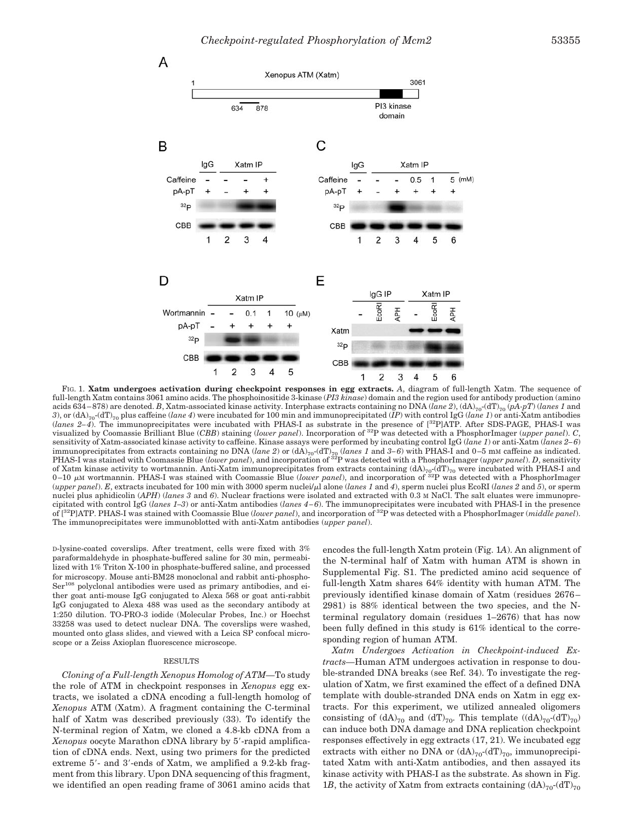

FIG. 1. **Xatm undergoes activation during checkpoint responses in egg extracts.** *A*, diagram of full-length Xatm. The sequence of full-length Xatm contains 3061 amino acids. The phosphoinositide 3-kinase (*PI3 kinase*) domain and the region used for antibody production (amino acids 634 – 878) are denoted. *B*, Xatm-associated kinase activity. Interphase extracts containing no DNA (*lane 2*), (dA)70-(dT)70 (*pA-pT*) (*lanes 1* and *3*), or (dA)70-(dT)70 plus caffeine (*lane 4*) were incubated for 100 min and immunoprecipitated (*IP*) with control IgG (*lane 1*) or anti-Xatm antibodies (*lanes 2– 4*). The immunoprecipitates were incubated with PHAS-I as substrate in the presence of [32P]ATP. After SDS-PAGE, PHAS-I was visualized by Coomassie Brilliant Blue (*CBB*) staining (*lower panel*). Incorporation of 32P was detected with a PhosphorImager (*upper panel*). *C*, sensitivity of Xatm-associated kinase activity to caffeine. Kinase assays were performed by incubating control IgG (*lane 1*) or anti-Xatm (*lanes 2– 6*) immunoprecipitates from extracts containing no DNA (lane 2) or (dA)<sub>70</sub> (lanes 1 and 3–6) with PHAS-I and 0–5 mM caffeine as indicated.<br>PHAS-I was stained with Coomassie Blue (lower panel), and incorporation of <sup>32</sup>P was d of Xatm kinase activity to wortmannin. Anti-Xatm immunoprecipitates from extracts containing (dA)<sub>70</sub>-(dT)<sub>70</sub> were incubated with PHAS-I and<br>0–10 μM wortmannin. PHAS-I was stained with Coomassie Blue (lower panel), and i (*upper panel*). *E*, extracts incubated for 100 min with 3000 sperm nuclei/l alone (*lanes 1* and *4*), sperm nuclei plus EcoRI (*lanes 2* and *5*), or sperm nuclei plus aphidicolin (*APH*) (*lanes* 3 and 6). Nuclear fractions were isolated and extracted with 0.3 M NaCl. The salt eluates were immunoprecipitated with control IgG (*lanes 1–3*) or anti-Xatm antibodies (*lanes 4 – 6*). The immunoprecipitates were incubated with PHAS-I in the presence of [32P]ATP. PHAS-I was stained with Coomassie Blue (*lower panel*), and incorporation of 32P was detected with a PhosphorImager (*middle panel*). The immunoprecipitates were immunoblotted with anti-Xatm antibodies (*upper panel*).

D-lysine-coated coverslips. After treatment, cells were fixed with 3% paraformaldehyde in phosphate-buffered saline for 30 min, permeabilized with 1% Triton X-100 in phosphate-buffered saline, and processed for microscopy. Mouse anti-BM28 monoclonal and rabbit anti-phospho-Ser<sup>108</sup> polyclonal antibodies were used as primary antibodies, and either goat anti-mouse IgG conjugated to Alexa 568 or goat anti-rabbit IgG conjugated to Alexa 488 was used as the secondary antibody at 1:250 dilution. TO-PRO-3 iodide (Molecular Probes, Inc.) or Hoechst 33258 was used to detect nuclear DNA. The coverslips were washed, mounted onto glass slides, and viewed with a Leica SP confocal microscope or a Zeiss Axioplan fluorescence microscope.

## RESULTS

*Cloning of a Full-length Xenopus Homolog of ATM—*To study the role of ATM in checkpoint responses in *Xenopus* egg extracts, we isolated a cDNA encoding a full-length homolog of *Xenopus* ATM (Xatm). A fragment containing the C-terminal half of Xatm was described previously (33). To identify the N-terminal region of Xatm, we cloned a 4.8-kb cDNA from a Xenopus oocyte Marathon cDNA library by 5'-rapid amplification of cDNA ends. Next, using two primers for the predicted extreme 5'- and 3'-ends of Xatm, we amplified a 9.2-kb fragment from this library. Upon DNA sequencing of this fragment, we identified an open reading frame of 3061 amino acids that

encodes the full-length Xatm protein (Fig. 1*A*). An alignment of the N-terminal half of Xatm with human ATM is shown in Supplemental Fig. S1. The predicted amino acid sequence of full-length Xatm shares 64% identity with human ATM. The previously identified kinase domain of Xatm (residues 2676 – 2981) is 88% identical between the two species, and the Nterminal regulatory domain (residues 1–2676) that has now been fully defined in this study is 61% identical to the corresponding region of human ATM.

*Xatm Undergoes Activation in Checkpoint-induced Extracts—*Human ATM undergoes activation in response to double-stranded DNA breaks (see Ref. 34). To investigate the regulation of Xatm, we first examined the effect of a defined DNA template with double-stranded DNA ends on Xatm in egg extracts. For this experiment, we utilized annealed oligomers consisting of  $(dA)_{70}$  and  $(dT)_{70}$ . This template  $((dA)_{70}-(dT)_{70})$ can induce both DNA damage and DNA replication checkpoint responses effectively in egg extracts (17, 21). We incubated egg extracts with either no DNA or  $(dA)_{70}$ - $(dT)_{70}$ , immunoprecipitated Xatm with anti-Xatm antibodies, and then assayed its kinase activity with PHAS-I as the substrate. As shown in Fig. 1*B*, the activity of Xatm from extracts containing  $(dA)_{70}$ - $(dT)_{70}$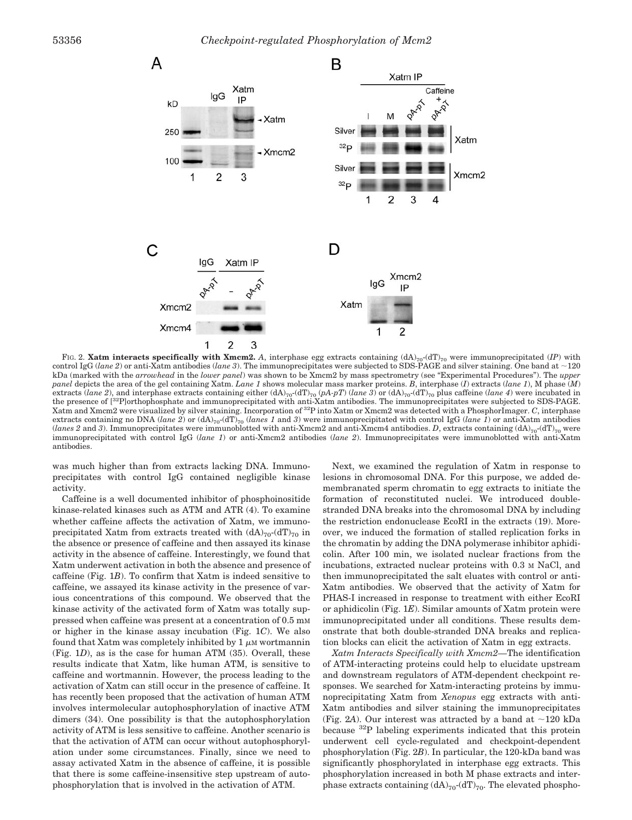

FIG. 2. **Xatm interacts specifically with Xmcm2.** A, interphase egg extracts containing  $(dA)_{70}$ - $(dT)_{70}$  were immunoprecipitated (*IP*) with control IgG (*lane 2*) or anti-Xatm antibodies (*lane 3*). The immunoprecipitates were subjected to SDS-PAGE and silver staining. One band at  $\sim$ 120 kDa (marked with the *arrowhead* in the *lower panel*) was shown to be Xmcm2 by mass spectrometry (see "Experimental Procedures"). The *upper panel* depicts the area of the gel containing Xatm. *Lane 1* shows molecular mass marker proteins. *B*, interphase (*I*) extracts (*lane 1*), M phase (*M*) extracts (*lane 2*), and interphase extracts containing either  $(dA)_{70}$ - $(dT)_{70}$  (*pA-pT*) (*lane 3*) or  $(dA)_{70}$ - $(dT)_{70}$  plus caffeine (*lane 4*) were incubated in the presence of [32P]orthophosphate and immunoprecipitated with anti-Xatm antibodies. The immunoprecipitates were subjected to SDS-PAGE. Xatm and Xmcm2 were visualized by silver staining. Incorporation of 32P into Xatm or Xmcm2 was detected with a PhosphorImager. *C*, interphase extracts containing no DNA (*lane 2*) or  $(dA)_{70}$ -(dT)<sub>70</sub> (*lanes 1* and 3) were immunoprecipitated with control IgG (*lane 1*) or anti-Xatm antibodies (*lanes 2* and 3). Immunoprecipitates were immunoblotted with anti-Xmcm2 and anti-Xmcm4 antibodies. *D*, extracts containing  $(dA)_{70}$ - $(dT)_{70}$  were immunoprecipitated with control IgG (*lane 1*) or anti-Xmcm2 antibodies (*lane 2*). Immunoprecipitates were immunoblotted with anti-Xatm antibodies.

was much higher than from extracts lacking DNA. Immunoprecipitates with control IgG contained negligible kinase activity.

Caffeine is a well documented inhibitor of phosphoinositide kinase-related kinases such as ATM and ATR (4). To examine whether caffeine affects the activation of Xatm, we immunoprecipitated Xatm from extracts treated with  $(dA)_{70}$ - $(dT)_{70}$  in the absence or presence of caffeine and then assayed its kinase activity in the absence of caffeine. Interestingly, we found that Xatm underwent activation in both the absence and presence of caffeine (Fig. 1*B*). To confirm that Xatm is indeed sensitive to caffeine, we assayed its kinase activity in the presence of various concentrations of this compound. We observed that the kinase activity of the activated form of Xatm was totally suppressed when caffeine was present at a concentration of 0.5 mM or higher in the kinase assay incubation (Fig. 1*C*). We also found that Xatm was completely inhibited by  $1 \mu M$  wortmannin (Fig. 1*D*), as is the case for human ATM (35). Overall, these results indicate that Xatm, like human ATM, is sensitive to caffeine and wortmannin. However, the process leading to the activation of Xatm can still occur in the presence of caffeine. It has recently been proposed that the activation of human ATM involves intermolecular autophosphorylation of inactive ATM dimers (34). One possibility is that the autophosphorylation activity of ATM is less sensitive to caffeine. Another scenario is that the activation of ATM can occur without autophosphorylation under some circumstances. Finally, since we need to assay activated Xatm in the absence of caffeine, it is possible that there is some caffeine-insensitive step upstream of autophosphorylation that is involved in the activation of ATM.

Next, we examined the regulation of Xatm in response to lesions in chromosomal DNA. For this purpose, we added demembranated sperm chromatin to egg extracts to initiate the formation of reconstituted nuclei. We introduced doublestranded DNA breaks into the chromosomal DNA by including the restriction endonuclease EcoRI in the extracts (19). Moreover, we induced the formation of stalled replication forks in the chromatin by adding the DNA polymerase inhibitor aphidicolin. After 100 min, we isolated nuclear fractions from the incubations, extracted nuclear proteins with 0.3 M NaCl, and then immunoprecipitated the salt eluates with control or anti-Xatm antibodies. We observed that the activity of Xatm for PHAS-I increased in response to treatment with either EcoRI or aphidicolin (Fig. 1*E*). Similar amounts of Xatm protein were immunoprecipitated under all conditions. These results demonstrate that both double-stranded DNA breaks and replication blocks can elicit the activation of Xatm in egg extracts.

*Xatm Interacts Specifically with Xmcm2—*The identification of ATM-interacting proteins could help to elucidate upstream and downstream regulators of ATM-dependent checkpoint responses. We searched for Xatm-interacting proteins by immunoprecipitating Xatm from *Xenopus* egg extracts with anti-Xatm antibodies and silver staining the immunoprecipitates (Fig. 2A). Our interest was attracted by a band at  $\sim$ 120 kDa because 32P labeling experiments indicated that this protein underwent cell cycle-regulated and checkpoint-dependent phosphorylation (Fig. 2*B*). In particular, the 120-kDa band was significantly phosphorylated in interphase egg extracts. This phosphorylation increased in both M phase extracts and interphase extracts containing  $(dA)_{70}$ - $(dT)_{70}$ . The elevated phospho-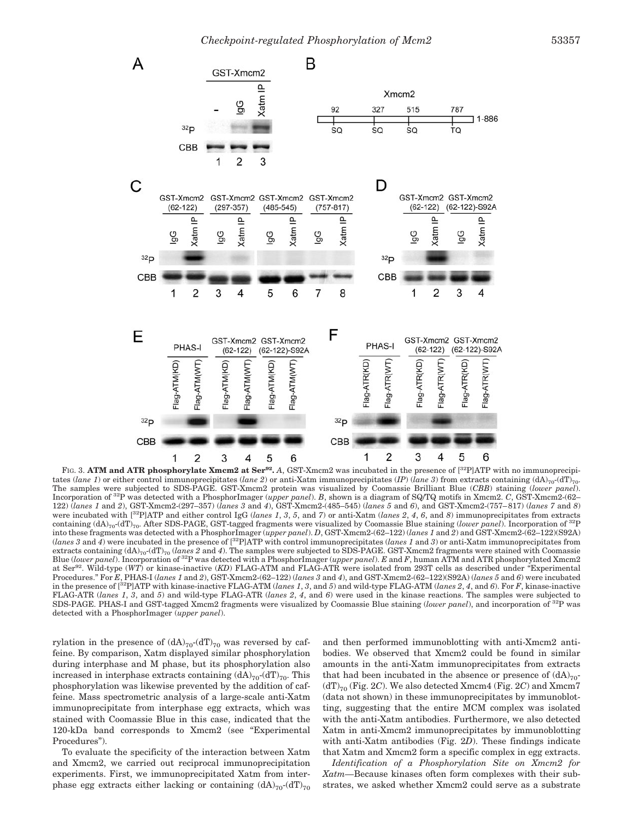

FIG. 3. ATM and ATR phosphorylate Xmcm2 at Ser<sup>92</sup>. *A*, GST-Xmcm2 was incubated in the presence of [<sup>32</sup>P]ATP with no immunoprecipitates (*lane 1*) or either control immunoprecipitates (*lane 2*) or anti-Xatm immunoprecipitates (*IP*) (*dane 3*) from extracts containing (dA)<sub>70</sub>-(dT)<sub>70</sub>. The samples were subjected to SDS-PAGE. GST-Xmcm2 protein was visualized by Coomassie Brilliant Blue (*CBB*) staining (*lower panel*). Incorporation of 32P was detected with a PhosphorImager (*upper panel*). *B*, shown is a diagram of SQ/TQ motifs in Xmcm2. *C*, GST-Xmcm2-(62– 122) (*lanes 1* and *2*), GST-Xmcm2-(297–357) (*lanes 3* and *4*), GST-Xmcm2-(485–545) (*lanes 5* and *6*), and GST-Xmcm2-(757– 817) (*lanes 7* and *8*) were incubated with [32P]ATP and either control IgG (*lanes 1*, *3*, *5*, and *7*) or anti-Xatm (*lanes 2*, *4*, *6*, and *8*) immunoprecipitates from extracts containing (dA)70-(dT)70. After SDS-PAGE, GST-tagged fragments were visualized by Coomassie Blue staining (*lower panel*). Incorporation of 32P into these fragments was detected with a PhosphorImager (*upper panel*). *D*, GST-Xmcm2-(62–122) (*lanes 1* and *2*) and GST-Xmcm2-(62–122)(S92A) (*lanes 3* and *4*) were incubated in the presence of [32P]ATP with control immunoprecipitates (*lanes 1* and *3*) or anti-Xatm immunoprecipitates from extracts containing  $(dA)_{70}$ - $(dT)_{70}$  (lanes 2 and 4). The samples were subjected to SDS-PAGE. GST-Xmcm2 fragments were stained with Coomassie Blue (*lower panel*). Incorporation of 32P was detected with a PhosphorImager (*upper panel*). *E* and *F*, human ATM and ATR phosphorylated Xmcm2 at Ser92. Wild-type (*WT*) or kinase-inactive (*KD*) FLAG-ATM and FLAG-ATR were isolated from 293T cells as described under "Experimental Procedures." For *E*, PHAS-I (*lanes 1* and *2*), GST-Xmcm2-(62–122) (*lanes 3* and *4*), and GST-Xmcm2-(62–122)(S92A) (*lanes 5* and *6*) were incubated in the presence of [32P]ATP with kinase-inactive FLAG-ATM (*lanes 1*, *3*, and *5*) and wild-type FLAG-ATM (*lanes 2*, *4*, and *6*). For *F*, kinase-inactive FLAG-ATR (*lanes 1*, *3*, and *5*) and wild-type FLAG-ATR (*lanes 2*, *4*, and *6*) were used in the kinase reactions. The samples were subjected to SDS-PAGE. PHAS-I and GST-tagged Xmcm2 fragments were visualized by Coomassie Blue staining (*lower panel*), and incorporation of 32P was detected with a PhosphorImager (*upper panel*).

rylation in the presence of  $(dA)_{70}$ - $(dT)_{70}$  was reversed by caffeine. By comparison, Xatm displayed similar phosphorylation during interphase and M phase, but its phosphorylation also increased in interphase extracts containing  $(dA)_{70}$ - $(dT)_{70}$ . This phosphorylation was likewise prevented by the addition of caffeine. Mass spectrometric analysis of a large-scale anti-Xatm immunoprecipitate from interphase egg extracts, which was stained with Coomassie Blue in this case, indicated that the 120-kDa band corresponds to Xmcm2 (see "Experimental Procedures").

To evaluate the specificity of the interaction between Xatm and Xmcm2, we carried out reciprocal immunoprecipitation experiments. First, we immunoprecipitated Xatm from interphase egg extracts either lacking or containing  $(dA)_{70}$ - $(dT)_{70}$ 

and then performed immunoblotting with anti-Xmcm2 antibodies. We observed that Xmcm2 could be found in similar amounts in the anti-Xatm immunoprecipitates from extracts that had been incubated in the absence or presence of  $(dA)_{70}$ - $(dT)_{70}$  (Fig. 2*C*). We also detected Xmcm4 (Fig. 2*C*) and Xmcm7 (data not shown) in these immunoprecipitates by immunoblotting, suggesting that the entire MCM complex was isolated with the anti-Xatm antibodies. Furthermore, we also detected Xatm in anti-Xmcm2 immunoprecipitates by immunoblotting with anti-Xatm antibodies (Fig. 2*D*). These findings indicate that Xatm and Xmcm2 form a specific complex in egg extracts.

*Identification of a Phosphorylation Site on Xmcm2 for Xatm—*Because kinases often form complexes with their substrates, we asked whether Xmcm2 could serve as a substrate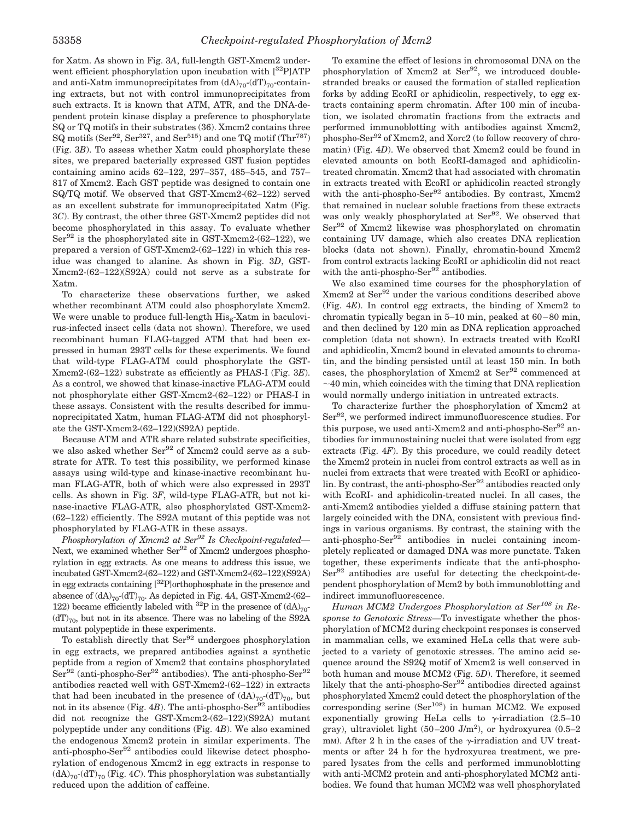for Xatm. As shown in Fig. 3*A*, full-length GST-Xmcm2 underwent efficient phosphorylation upon incubation with  $[{}^{32}P]ATP$ and anti-Xatm immunoprecipitates from  $(dA)_{70}$ - $(dT)_{70}$ -containing extracts, but not with control immunoprecipitates from such extracts. It is known that ATM, ATR, and the DNA-dependent protein kinase display a preference to phosphorylate SQ or TQ motifs in their substrates (36). Xmcm2 contains three  $SQ$  motifs (Ser<sup>92</sup>, Ser<sup>327</sup>, and Ser<sup>515</sup>) and one TQ motif (Thr<sup>787</sup>) (Fig. 3*B*). To assess whether Xatm could phosphorylate these sites, we prepared bacterially expressed GST fusion peptides containing amino acids 62–122, 297–357, 485–545, and 757– 817 of Xmcm2. Each GST peptide was designed to contain one SQ/TQ motif. We observed that GST-Xmcm2-(62–122) served as an excellent substrate for immunoprecipitated Xatm (Fig. 3*C*). By contrast, the other three GST-Xmcm2 peptides did not become phosphorylated in this assay. To evaluate whether  $Ser<sup>92</sup>$  is the phosphorylated site in GST-Xmcm2-(62–122), we prepared a version of GST-Xmcm2-(62–122) in which this residue was changed to alanine. As shown in Fig. 3*D*, GST-Xmcm2-(62–122)(S92A) could not serve as a substrate for Xatm.

To characterize these observations further, we asked whether recombinant ATM could also phosphorylate Xmcm2. We were unable to produce full-length  $His_{6}$ -Xatm in baculovirus-infected insect cells (data not shown). Therefore, we used recombinant human FLAG-tagged ATM that had been expressed in human 293T cells for these experiments. We found that wild-type FLAG-ATM could phosphorylate the GST-Xmcm2-(62–122) substrate as efficiently as PHAS-I (Fig. 3*E*). As a control, we showed that kinase-inactive FLAG-ATM could not phosphorylate either GST-Xmcm2-(62–122) or PHAS-I in these assays. Consistent with the results described for immunoprecipitated Xatm, human FLAG-ATM did not phosphorylate the GST-Xmcm2-(62–122)(S92A) peptide.

Because ATM and ATR share related substrate specificities, we also asked whether Ser<sup>92</sup> of Xmcm2 could serve as a substrate for ATR. To test this possibility, we performed kinase assays using wild-type and kinase-inactive recombinant human FLAG-ATR, both of which were also expressed in 293T cells. As shown in Fig. 3*F*, wild-type FLAG-ATR, but not kinase-inactive FLAG-ATR, also phosphorylated GST-Xmcm2- (62–122) efficiently. The S92A mutant of this peptide was not phosphorylated by FLAG-ATR in these assays.

*Phosphorylation of Xmcm2 at Ser<sup>92</sup> Is Checkpoint-regulated—* Next, we examined whether Ser<sup>92</sup> of Xmcm2 undergoes phosphorylation in egg extracts. As one means to address this issue, we incubated GST-Xmcm2-(62–122) and GST-Xmcm2-(62–122)(S92A) in egg extracts containing [32P]orthophosphate in the presence and absence of  $(dA)_{70}$ - $(dT)_{70}$ . As depicted in Fig. 4A, GST-Xmcm2- $(62-$ 122) became efficiently labeled with <sup>32</sup>P in the presence of  $(dA)_{70}$ - $(dT)_{70}$ , but not in its absence. There was no labeling of the S92A mutant polypeptide in these experiments.

To establish directly that Ser<sup>92</sup> undergoes phosphorylation in egg extracts, we prepared antibodies against a synthetic peptide from a region of Xmcm2 that contains phosphorylated  $\text{Ser}^{92}$  (anti-phospho-Ser<sup>92</sup> antibodies). The anti-phospho-Ser<sup>92</sup> antibodies reacted well with GST-Xmcm2-(62–122) in extracts that had been incubated in the presence of  $(dA)_{70}$ - $(dT)_{70}$ , but not in its absence (Fig.  $4B$ ). The anti-phospho-Ser<sup>92</sup> antibodies did not recognize the GST-Xmcm2-(62–122)(S92A) mutant polypeptide under any conditions (Fig. 4*B*). We also examined the endogenous Xmcm2 protein in similar experiments. The anti-phospho-Ser<sup>92</sup> antibodies could likewise detect phosphorylation of endogenous Xmcm2 in egg extracts in response to  $(dA)_{70}$ - $(dT)_{70}$  (Fig. 4*C*). This phosphorylation was substantially reduced upon the addition of caffeine.

To examine the effect of lesions in chromosomal DNA on the phosphorylation of Xmcm2 at Ser<sup>92</sup>, we introduced doublestranded breaks or caused the formation of stalled replication forks by adding EcoRI or aphidicolin, respectively, to egg extracts containing sperm chromatin. After 100 min of incubation, we isolated chromatin fractions from the extracts and performed immunoblotting with antibodies against Xmcm2, phospho-Ser92 of Xmcm2, and Xorc2 (to follow recovery of chromatin) (Fig. 4*D*). We observed that Xmcm2 could be found in elevated amounts on both EcoRI-damaged and aphidicolintreated chromatin. Xmcm2 that had associated with chromatin in extracts treated with EcoRI or aphidicolin reacted strongly with the anti-phospho-Ser $^{92}$  antibodies. By contrast, Xmcm2 that remained in nuclear soluble fractions from these extracts was only weakly phosphorylated at Ser<sup>92</sup>. We observed that Ser<sup>92</sup> of Xmcm2 likewise was phosphorylated on chromatin containing UV damage, which also creates DNA replication blocks (data not shown). Finally, chromatin-bound Xmcm2 from control extracts lacking EcoRI or aphidicolin did not react with the anti-phospho-Ser $92$  antibodies.

We also examined time courses for the phosphorylation of Xmcm2 at Ser92 under the various conditions described above (Fig. 4*E*). In control egg extracts, the binding of Xmcm2 to chromatin typically began in  $5-10$  min, peaked at  $60-80$  min, and then declined by 120 min as DNA replication approached completion (data not shown). In extracts treated with EcoRI and aphidicolin, Xmcm2 bound in elevated amounts to chromatin, and the binding persisted until at least 150 min. In both cases, the phosphorylation of Xmcm2 at  $\text{Ser}^{92}$  commenced at  $\sim$  40 min, which coincides with the timing that DNA replication would normally undergo initiation in untreated extracts.

To characterize further the phosphorylation of Xmcm2 at Ser<sup>92</sup>, we performed indirect immunofluorescence studies. For this purpose, we used anti-Xmcm2 and anti-phospho-Ser<sup>92</sup> antibodies for immunostaining nuclei that were isolated from egg extracts (Fig. 4*F*). By this procedure, we could readily detect the Xmcm2 protein in nuclei from control extracts as well as in nuclei from extracts that were treated with EcoRI or aphidicolin. By contrast, the anti-phospho-Ser $^{92}$  antibodies reacted only with EcoRI- and aphidicolin-treated nuclei. In all cases, the anti-Xmcm2 antibodies yielded a diffuse staining pattern that largely coincided with the DNA, consistent with previous findings in various organisms. By contrast, the staining with the anti-phospho-Ser<sup>92</sup> antibodies in nuclei containing incompletely replicated or damaged DNA was more punctate. Taken together, these experiments indicate that the anti-phospho-Ser92 antibodies are useful for detecting the checkpoint-dependent phosphorylation of Mcm2 by both immunoblotting and indirect immunofluorescence.

*Human MCM2 Undergoes Phosphorylation at Ser108 in Response to Genotoxic Stress—*To investigate whether the phosphorylation of MCM2 during checkpoint responses is conserved in mammalian cells, we examined HeLa cells that were subjected to a variety of genotoxic stresses. The amino acid sequence around the S92Q motif of Xmcm2 is well conserved in both human and mouse MCM2 (Fig. 5*D*). Therefore, it seemed likely that the anti-phospho-Ser $92$  antibodies directed against phosphorylated Xmcm2 could detect the phosphorylation of the corresponding serine  $(Ser<sup>108</sup>)$  in human MCM2. We exposed exponentially growing HeLa cells to  $\gamma$ -irradiation (2.5–10) gray), ultraviolet light  $(50-200 \text{ J/m}^2)$ , or hydroxyurea  $(0.5-2)$ mm). After 2 h in the cases of the  $\gamma$ -irradiation and UV treatments or after 24 h for the hydroxyurea treatment, we prepared lysates from the cells and performed immunoblotting with anti-MCM2 protein and anti-phosphorylated MCM2 antibodies. We found that human MCM2 was well phosphorylated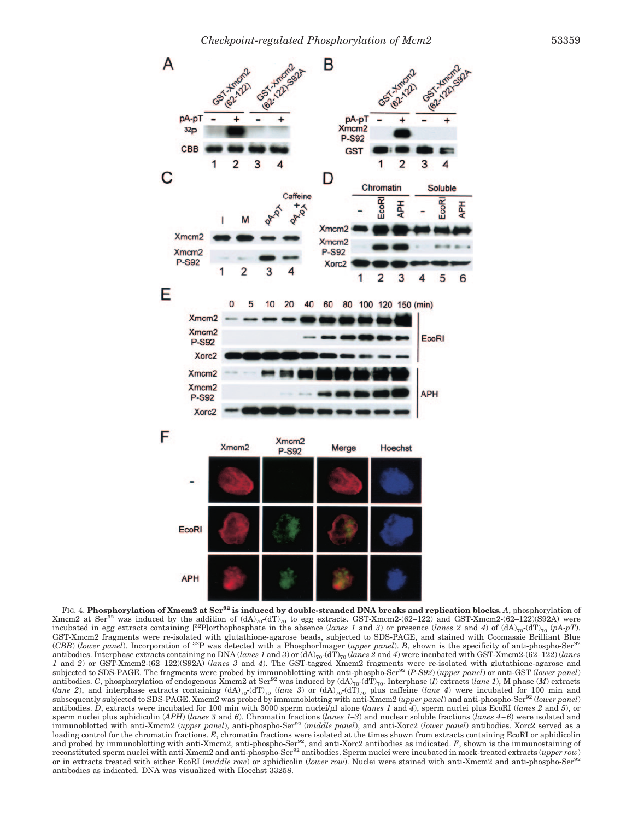

FIG. 4. **Phosphorylation of Xmcm2 at Ser<sup>92</sup> is induced by double-stranded DNA breaks and replication blocks.** *A*, phosphorylation of Xmcm2 at Ser<sup>92</sup> was induced by the addition of  $(dA)_{70}$ - $(dT)_{70}$  to egg extracts. GST-Xmcm2-(62–122) and GST-Xmcm2-(62–122)(S92A) were incubated in egg extracts containing  $[^{32}P]$ orthophosphate in the absence (*lanes 1* and *3*) or presence (*lanes 2* and *4*) of (dA)<sub>70</sub>-(dT)<sub>70</sub> (*pA-pT*). GST-Xmcm2 fragments were re-isolated with glutathione-agarose beads, subjected to SDS-PAGE, and stained with Coomassie Brilliant Blue (*CBB*) (*lower panel*). Incorporation of 32P was detected with a PhosphorImager (*upper panel*). *B*, shown is the specificity of anti-phospho-Ser<sup>92</sup> antibodies. Interphase extracts containing no DNA (*lanes 1* and *3*) or (dA)<sub>70</sub>-(dT)<sub>70</sub> (*lanes 2* and *4*) were incubated with GST-Xmcm2-(62–122) (*lanes 1* and *2*) or GST-Xmcm2-(62–122)(S92A) (*lanes 3* and *4*). The GST-tagged Xmcm2 fragments were re-isolated with glutathione-agarose and subjected to SDS-PAGE. The fragments were probed by immunoblotting with anti-phospho-Ser92 (*P-S92*) (*upper panel*) or anti-GST (*lower panel*) antibodies. *C*, phosphorylation of endogenous Xmcm2 at Ser<sup>92</sup> was induced by  $(dA)_{70}$ - $(dT)_{70}$ . Interphase (*I*) extracts (*lane 1*), M phase (*M*) extracts (*lane 2*), and interphase extracts containing  $(dA)_{70}$ -( $dT$ )<sub>70</sub> (*lane 3*) or  $(dA)_{70}$ - $(dT)_{70}$  plus caffeine (*lane 4*) were incubated for 100 min and subsequently subjected to SDS-PAGE. Xmcm2 was probed by immunoblotting with anti-Xmcm2 (*upper panel*) and anti-phospho-Ser92 (*lower panel*) antibodies. *D*, extracts were incubated for 100 min with 3000 sperm nuclei $\bar{\mu}$ l alone (*lanes 1* and *4*), sperm nuclei plus EcoRI (*lanes 2* and *5*), or sperm nuclei plus aphidicolin (*APH*) (*lanes 3* and *6*). Chromatin fractions (*lanes 1–3*) and nuclear soluble fractions (*lanes 4 – 6*) were isolated and immunoblotted with anti-Xmcm2 (*upper panel*), anti-phospho-Ser<sup>92</sup> (*middle panel*), and anti-Xorc2 (*lower panel*) antibodies. Xorc2 served as a loading control for the chromatin fractions. *E*, chromatin fractions were isolated at the times shown from extracts containing EcoRI or aphidicolin and probed by immunoblotting with anti-Xmcm2, anti-phospho-Ser<sup>92</sup>, and anti-Xorc2 antibodies as indicated. *F*, shown is the immunostaining of reconstituted sperm nuclei with anti-Xmcm2 and anti-phospho-Ser<sup>92</sup> antibodies. Sperm nuclei were incubated in mock-treated extracts (*upper row*) or in extracts treated with either EcoRI (*middle row*) or aphidicolin (*lower row*). Nuclei were stained with anti-Xmcm2 and anti-phospho-Ser92 antibodies as indicated. DNA was visualized with Hoechst 33258.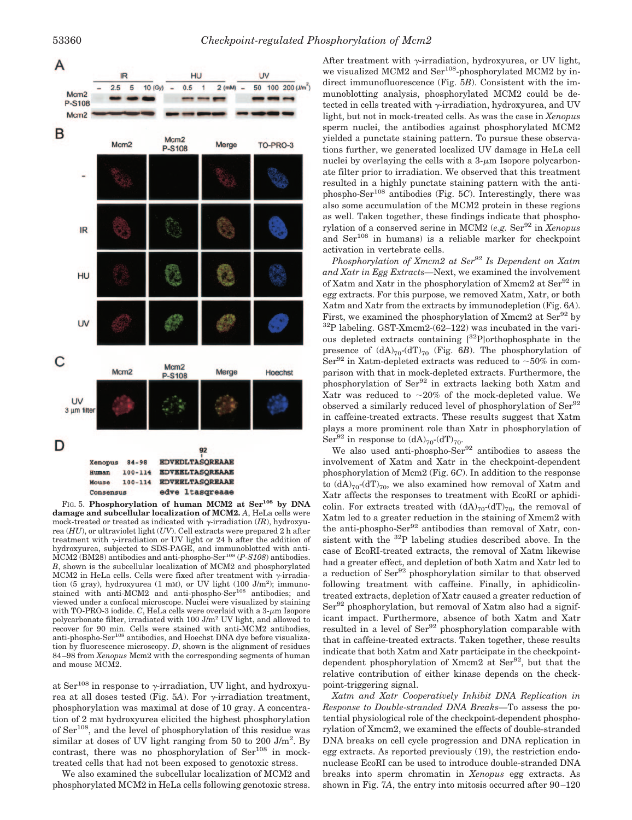

FIG. 5. Phosphorylation of human MCM2 at Ser<sup>108</sup> by DNA **damage and subcellular localization of MCM2.** *A*, HeLa cells were mock-treated or treated as indicated with  $\gamma$ -irradiation (*IR*), hydroxyurea (*HU*), or ultraviolet light (*UV*). Cell extracts were prepared 2 h after treatment with  $\gamma$ -irradiation or UV light or 24 h after the addition of hydroxyurea, subjected to SDS-PAGE, and immunoblotted with anti-MCM2 (BM28) antibodies and anti-phospho-Ser<sup>108</sup> (*P-S108*) antibodies. *B*, shown is the subcellular localization of MCM2 and phosphorylated MCM2 in HeLa cells. Cells were fixed after treatment with  $\gamma$ -irradiation  $(5 \text{ gray})$ , hydroxyurea  $(1 \text{ mM})$ , or UV light  $(100 \text{ J/m}^2)$ ; immunostained with anti-MCM2 and anti-phospho-Ser<sup>108</sup> antibodies; and viewed under a confocal microscope. Nuclei were visualized by staining with TO-PRO-3 iodide.  $C$ , HeLa cells were overlaid with a  $3-\mu m$  Isopore polycarbonate filter, irradiated with 100 J/m<sup>2</sup> UV light, and allowed to recover for 90 min. Cells were stained with anti-MCM2 antibodies, anti-phospho-Ser $^{108}$  antibodies, and Hoechst DNA dye before visualization by fluorescence microscopy. *D*, shown is the alignment of residues 84 –98 from *Xenopus* Mcm2 with the corresponding segments of human and mouse MCM2.

at  $\text{Ser}^{108}$  in response to y-irradiation, UV light, and hydroxyurea at all doses tested (Fig. 5A). For  $\gamma$ -irradiation treatment, phosphorylation was maximal at dose of 10 gray. A concentration of 2 mM hydroxyurea elicited the highest phosphorylation of  $\text{Ser}^{108}$ , and the level of phosphorylation of this residue was similar at doses of UV light ranging from 50 to 200  $J/m^2$ . By contrast, there was no phosphorylation of  $\text{Ser}^{108}$  in mocktreated cells that had not been exposed to genotoxic stress.

We also examined the subcellular localization of MCM2 and phosphorylated MCM2 in HeLa cells following genotoxic stress.

After treatment with  $\gamma$ -irradiation, hydroxyurea, or UV light, we visualized MCM2 and Ser<sup>108</sup>-phosphorylated MCM2 by indirect immunofluorescence (Fig. 5*B*). Consistent with the immunoblotting analysis, phosphorylated MCM2 could be detected in cells treated with  $\gamma$ -irradiation, hydroxyurea, and UV light, but not in mock-treated cells. As was the case in *Xenopus* sperm nuclei, the antibodies against phosphorylated MCM2 yielded a punctate staining pattern. To pursue these observations further, we generated localized UV damage in HeLa cell nuclei by overlaying the cells with a  $3-\mu m$  Isopore polycarbonate filter prior to irradiation. We observed that this treatment resulted in a highly punctate staining pattern with the antiphospho-Ser108 antibodies (Fig. 5*C*). Interestingly, there was also some accumulation of the MCM2 protein in these regions as well. Taken together, these findings indicate that phosphorylation of a conserved serine in MCM2 (*e.g.* Ser<sup>92</sup> in *Xenopus* and Ser<sup>108</sup> in humans) is a reliable marker for checkpoint activation in vertebrate cells.

*Phosphorylation of Xmcm2 at Ser92 Is Dependent on Xatm and Xatr in Egg Extracts—*Next, we examined the involvement of Xatm and Xatr in the phosphorylation of Xmcm2 at Ser<sup>92</sup> in egg extracts. For this purpose, we removed Xatm, Xatr, or both Xatm and Xatr from the extracts by immunodepletion (Fig. 6*A*). First, we examined the phosphorylation of Xmcm2 at  $\text{Ser}^{92}$  by 32P labeling. GST-Xmcm2-(62–122) was incubated in the various depleted extracts containing [32P]orthophosphate in the presence of  $(dA)_{70}$ - $(dT)_{70}$  (Fig. 6*B*). The phosphorylation of Ser<sup>92</sup> in Xatm-depleted extracts was reduced to  $\sim$ 50% in comparison with that in mock-depleted extracts. Furthermore, the phosphorylation of Ser92 in extracts lacking both Xatm and Xatr was reduced to  $\sim 20\%$  of the mock-depleted value. We observed a similarly reduced level of phosphorylation of Ser<sup>92</sup> in caffeine-treated extracts. These results suggest that Xatm plays a more prominent role than Xatr in phosphorylation of Ser<sup>92</sup> in response to  $(dA)_{70}$ - $(dT)_{70}$ .

We also used anti-phospho-Ser<sup>92</sup> antibodies to assess the involvement of Xatm and Xatr in the checkpoint-dependent phosphorylation of Mcm2 (Fig. 6*C*). In addition to the response to  $(dA)_{70}$ - $(dT)_{70}$ , we also examined how removal of Xatm and Xatr affects the responses to treatment with EcoRI or aphidicolin. For extracts treated with  $(dA)_{70}$ - $(dT)_{70}$ , the removal of Xatm led to a greater reduction in the staining of Xmcm2 with the anti-phospho-Ser<sup>92</sup> antibodies than removal of Xatr, consistent with the 32P labeling studies described above. In the case of EcoRI-treated extracts, the removal of Xatm likewise had a greater effect, and depletion of both Xatm and Xatr led to a reduction of Ser<sup>92</sup> phosphorylation similar to that observed following treatment with caffeine. Finally, in aphidicolintreated extracts, depletion of Xatr caused a greater reduction of  $\text{Ser}^{92}$  phosphorylation, but removal of Xatm also had a significant impact. Furthermore, absence of both Xatm and Xatr resulted in a level of Ser<sup>92</sup> phosphorylation comparable with that in caffeine-treated extracts. Taken together, these results indicate that both Xatm and Xatr participate in the checkpointdependent phosphorylation of Xmcm2 at  $\text{Ser}^{92}$ , but that the relative contribution of either kinase depends on the checkpoint-triggering signal.

*Xatm and Xatr Cooperatively Inhibit DNA Replication in Response to Double-stranded DNA Breaks—*To assess the potential physiological role of the checkpoint-dependent phosphorylation of Xmcm2, we examined the effects of double-stranded DNA breaks on cell cycle progression and DNA replication in egg extracts. As reported previously (19), the restriction endonuclease EcoRI can be used to introduce double-stranded DNA breaks into sperm chromatin in *Xenopus* egg extracts. As shown in Fig. 7*A*, the entry into mitosis occurred after 90–120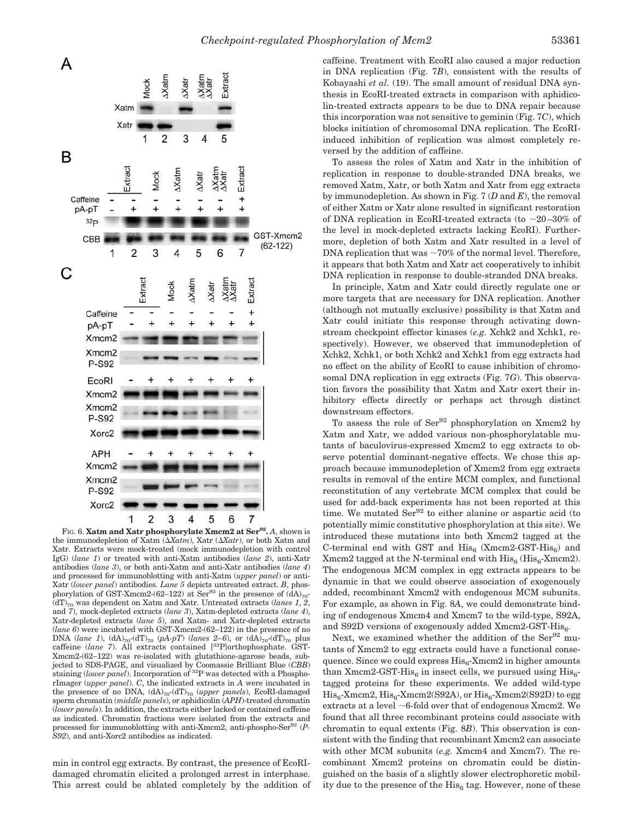

FIG. 6. Xatm and Xatr phosphorylate Xmcm2 at Ser<sup>92</sup>. A, shown is the immunodepletion of Xatm (*Xatm*), Xatr (*Xatr*), or both Xatm and Xatr. Extracts were mock-treated (mock immunodepletion with control IgG) (*lane 1*) or treated with anti-Xatm antibodies (*lane 2*), anti-Xatr antibodies (*lane 3*), or both anti-Xatm and anti-Xatr antibodies (*lane 4*) and processed for immunoblotting with anti-Xatm (*upper panel*) or anti-Xatr (*lower panel*) antibodies. *Lane 5* depicts untreated extract. *B*, phosphorylation of GST-Xmcm2-(62–122) at Ser<sup>92</sup> in the presence of  $(\hat{d}A)_{70}$ -(dT)70 was dependent on Xatm and Xatr. Untreated extracts (*lanes 1*, *2*, and *7*), mock-depleted extracts (*lane 3*), Xatm-depleted extracts (*lane 4*), Xatr-depleted extracts (*lane 5*), and Xatm- and Xatr-depleted extracts (*lane 6*) were incubated with GST-Xmcm2-(62–122) in the presence of no DNA (*lane 1*),  $(dA)_{70}$ - $(dT)_{70}$  (*pA-pT*) (*lanes 2–6*), or  $(dA)_{70}$ - $(dT)_{70}$  plus caffeine (*lane 7*). All extracts contained [32P]orthophosphate. GST-Xmcm2-(62–122) was re-isolated with glutathione-agarose beads, subjected to SDS-PAGE, and visualized by Coomassie Brilliant Blue (*CBB*) staining (*lower panel*). Incorporation of 32P was detected with a PhosphorImager (*upper panel*). *C*, the indicated extracts in *A* were incubated in the presence of no DNA,  $(dA)_{70}$ - $(dT)_{70}$  (*upper panels*), EcoRI-damaged sperm chromatin (*middle panels*), or aphidicolin (*APH*)-treated chromatin (*lower panels*). In addition, the extracts either lacked or contained caffeine as indicated. Chromatin fractions were isolated from the extracts and processed for immunoblotting with anti-Xmcm2, anti-phospho-Ser92 (*P-S92*), and anti-Xorc2 antibodies as indicated.

min in control egg extracts. By contrast, the presence of EcoRIdamaged chromatin elicited a prolonged arrest in interphase. This arrest could be ablated completely by the addition of caffeine. Treatment with EcoRI also caused a major reduction in DNA replication (Fig. 7*B*), consistent with the results of Kobayashi *et al.* (19). The small amount of residual DNA synthesis in EcoRI-treated extracts in comparison with aphidicolin-treated extracts appears to be due to DNA repair because this incorporation was not sensitive to geminin (Fig. 7*C*), which blocks initiation of chromosomal DNA replication. The EcoRIinduced inhibition of replication was almost completely reversed by the addition of caffeine.

To assess the roles of Xatm and Xatr in the inhibition of replication in response to double-stranded DNA breaks, we removed Xatm, Xatr, or both Xatm and Xatr from egg extracts by immunodepletion. As shown in Fig. 7 (*D* and *E*), the removal of either Xatm or Xatr alone resulted in significant restoration of DNA replication in EcoRI-treated extracts (to  $\sim$ 20–30% of the level in mock-depleted extracts lacking EcoRI). Furthermore, depletion of both Xatm and Xatr resulted in a level of DNA replication that was  $\sim 70\%$  of the normal level. Therefore, it appears that both Xatm and Xatr act cooperatively to inhibit DNA replication in response to double-stranded DNA breaks.

In principle, Xatm and Xatr could directly regulate one or more targets that are necessary for DNA replication. Another (although not mutually exclusive) possibility is that Xatm and Xatr could initiate this response through activating downstream checkpoint effector kinases (*e.g.* Xchk2 and Xchk1, respectively). However, we observed that immunodepletion of Xchk2, Xchk1, or both Xchk2 and Xchk1 from egg extracts had no effect on the ability of EcoRI to cause inhibition of chromosomal DNA replication in egg extracts (Fig. 7*G*). This observation favors the possibility that Xatm and Xatr exert their inhibitory effects directly or perhaps act through distinct downstream effectors.

To assess the role of  $\text{Ser}^{92}$  phosphorylation on Xmcm2 by Xatm and Xatr, we added various non-phosphorylatable mutants of baculovirus-expressed Xmcm2 to egg extracts to observe potential dominant-negative effects. We chose this approach because immunodepletion of Xmcm2 from egg extracts results in removal of the entire MCM complex, and functional reconstitution of any vertebrate MCM complex that could be used for add-back experiments has not been reported at this time. We mutated Ser<sup>92</sup> to either alanine or aspartic acid (to potentially mimic constitutive phosphorylation at this site). We introduced these mutations into both Xmcm2 tagged at the C-terminal end with GST and  $His_{6}$  (Xmcm2-GST-His<sub>6</sub>) and Xmcm2 tagged at the N-terminal end with  $\mathrm{His}_{6}$  ( $\mathrm{His}_{6}$ -Xmcm2). The endogenous MCM complex in egg extracts appears to be dynamic in that we could observe association of exogenously added, recombinant Xmcm2 with endogenous MCM subunits. For example, as shown in Fig. 8*A*, we could demonstrate binding of endogenous Xmcm4 and Xmcm7 to the wild-type, S92A, and S92D versions of exogenously added  $Xmcm2-GST-His<sub>6</sub>$ .

Next, we examined whether the addition of the Ser<sup>92</sup> mutants of Xmcm2 to egg extracts could have a functional consequence. Since we could express  $His<sub>6</sub>-Xmcm2$  in higher amounts than Xmcm2-GST-His<sub>6</sub> in insect cells, we pursued using  $His<sub>6</sub>$ tagged proteins for these experiments. We added wild-type  $His_{6}$ -Xmcm2,  $His_{6}$ -Xmcm2(S92A), or  $His_{6}$ -Xmcm2(S92D) to egg extracts at a level  $\sim$  6-fold over that of endogenous Xmcm2. We found that all three recombinant proteins could associate with chromatin to equal extents (Fig. 8*B*). This observation is consistent with the finding that recombinant Xmcm2 can associate with other MCM subunits (*e.g.* Xmcm4 and Xmcm7). The recombinant Xmcm2 proteins on chromatin could be distinguished on the basis of a slightly slower electrophoretic mobility due to the presence of the  $His<sub>6</sub>$  tag. However, none of these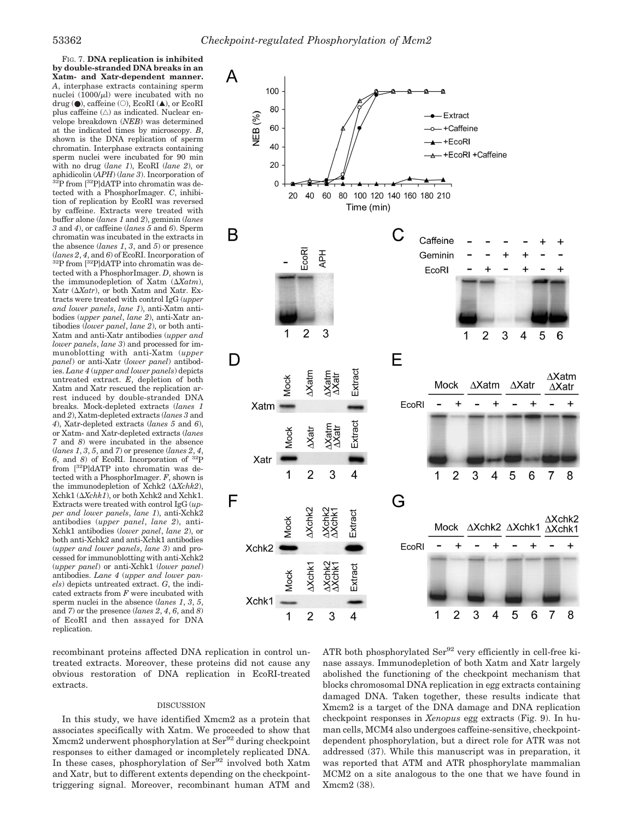FIG. 7. **DNA replication is inhibited by double-stranded DNA breaks in an Xatm- and Xatr-dependent manner.** *A*, interphase extracts containing sperm nuclei  $(1000/\mu l)$  were incubated with no drug ( $\bullet$ ), caffeine ( $\circ$ ), EcoRI ( $\blacktriangle$ ), or EcoRI plus caffeine  $(\triangle)$  as indicated. Nuclear envelope breakdown (*NEB*) was determined at the indicated times by microscopy. *B*, shown is the DNA replication of sperm chromatin. Interphase extracts containing sperm nuclei were incubated for 90 min with no drug (*lane 1*), EcoRI (*lane 2*), or aphidicolin (*APH*) (*lane 3*). Incorporation of 32P from [32P]dATP into chromatin was detected with a PhosphorImager. *C*, inhibition of replication by EcoRI was reversed by caffeine. Extracts were treated with buffer alone (*lanes 1* and *2*), geminin (*lanes 3* and *4*), or caffeine (*lanes 5* and *6*). Sperm chromatin was incubated in the extracts in the absence (*lanes 1*, *3*, and *5*) or presence (*lanes 2*, *<sup>4</sup>*, and *<sup>6</sup>*) of EcoRI. Incorporation of 32P from [32P]dATP into chromatin was detected with a PhosphorImager. *D*, shown is the immunodepletion of Xatm (*Xatm*), Xatr (*Xatr*), or both Xatm and Xatr. Extracts were treated with control IgG (*upper and lower panels*, *lane 1*), anti-Xatm antibodies (*upper panel*, *lane 2*), anti-Xatr antibodies (*lower panel*, *lane 2*), or both anti-Xatm and anti-Xatr antibodies (*upper and lower panels*, *lane 3*) and processed for immunoblotting with anti-Xatm (*upper panel*) or anti-Xatr (*lower panel*) antibodies. *Lane 4* (*upper and lower panels*) depicts untreated extract. *E*, depletion of both Xatm and Xatr rescued the replication arrest induced by double-stranded DNA breaks. Mock-depleted extracts (*lanes 1* and *2*), Xatm-depleted extracts (*lanes 3* and *4*), Xatr-depleted extracts (*lanes 5* and *6*), or Xatm- and Xatr-depleted extracts (*lanes 7* and *8*) were incubated in the absence (*lanes 1*, *3*, *5*, and *7*) or presence (*lanes 2*, *4*, *6*, and *8*) of EcoRI. Incorporation of 32P from [32P]dATP into chromatin was detected with a PhosphorImager. *F*, shown is the immunodepletion of Xchk2 (*Xchk2*), Xchk1 (*Xchk1*), or both Xchk2 and Xchk1. Extracts were treated with control IgG (*upper and lower panels*, *lane 1*), anti-Xchk2 antibodies (*upper panel*, *lane 2*), anti-Xchk1 antibodies (*lower panel*, *lane 2*), or both anti-Xchk2 and anti-Xchk1 antibodies (*upper and lower panels*, *lane 3*) and processed for immunoblotting with anti-Xchk2 (*upper panel*) or anti-Xchk1 (*lower panel*) antibodies. *Lane 4* (*upper and lower panels*) depicts untreated extract. *G*, the indicated extracts from *F* were incubated with sperm nuclei in the absence (*lanes 1*, *3*, *5*, and *7*) or the presence (*lanes 2*, *4*, *6*, and *8*) of EcoRI and then assayed for DNA replication.



recombinant proteins affected DNA replication in control untreated extracts. Moreover, these proteins did not cause any obvious restoration of DNA replication in EcoRI-treated extracts.

# DISCUSSION

In this study, we have identified Xmcm2 as a protein that associates specifically with Xatm. We proceeded to show that Xmcm2 underwent phosphorylation at Ser<sup>92</sup> during checkpoint responses to either damaged or incompletely replicated DNA. In these cases, phosphorylation of Ser<sup>92</sup> involved both Xatm and Xatr, but to different extents depending on the checkpointtriggering signal. Moreover, recombinant human ATM and

ATR both phosphorylated Ser<sup>92</sup> very efficiently in cell-free kinase assays. Immunodepletion of both Xatm and Xatr largely abolished the functioning of the checkpoint mechanism that blocks chromosomal DNA replication in egg extracts containing damaged DNA. Taken together, these results indicate that Xmcm2 is a target of the DNA damage and DNA replication checkpoint responses in *Xenopus* egg extracts (Fig. 9). In human cells, MCM4 also undergoes caffeine-sensitive, checkpointdependent phosphorylation, but a direct role for ATR was not addressed (37). While this manuscript was in preparation, it was reported that ATM and ATR phosphorylate mammalian MCM2 on a site analogous to the one that we have found in Xmcm2 (38).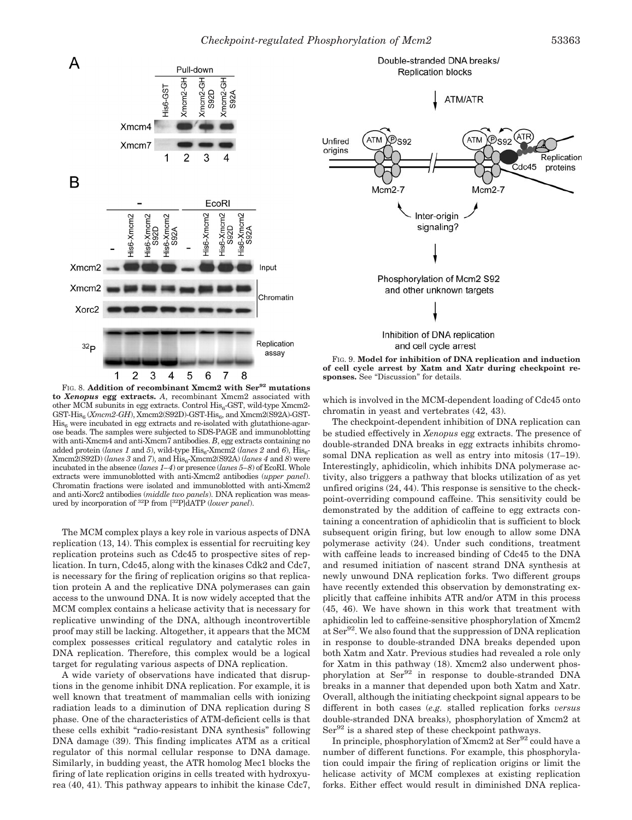

**ATM/ATR**  $\mathcal{P}$ s92 Unfired **ATM** S92 origins Replication Cdc45 proteins  $Mcm2-7$  $Mcm2-7$ Inter-origin signaling? Phosphorylation of Mcm2 S92 and other unknown targets Inhibition of DNA replication and cell cycle arrest

Double-stranded DNA breaks/

**Replication blocks** 

FIG. 9. **Model for inhibition of DNA replication and induction of cell cycle arrest by Xatm and Xatr during checkpoint responses.** See "Discussion" for details.

FIG. 8. **Addition of recombinant Xmcm2 with Ser<sup>92</sup> mutations to** *Xenopus* **egg extracts.** *A*, recombinant Xmcm2 associated with other MCM subunits in egg extracts. Control  $His<sub>6</sub>-GST$ , wild-type Xmcm2-GST-His<sub>6</sub> (*Xmcm2-GH*), Xmcm2(S92D)-GST-His<sub>6</sub>, and Xmcm2(S92A)-GST- $His<sub>6</sub>$  were incubated in egg extracts and re-isolated with glutathione-agarose beads. The samples were subjected to SDS-PAGE and immunoblotting with anti-Xmcm4 and anti-Xmcm7 antibodies. *B*, egg extracts containing no added protein (*lanes 1* and 5), wild-type  $His_{6}$ -Xmcm2 (*lanes 2* and 6),  $His_{6}$ - $Xmcm2(S92D)$  (*lanes 3* and 7), and  $His<sub>6</sub>-Xmcm2(S92A)$  (*lanes 4* and *8*) were incubated in the absence (*lanes 1–4*) or presence (*lanes 5–8*) of EcoRI. Whole extracts were immunoblotted with anti-Xmcm2 antibodies (*upper panel*). Chromatin fractions were isolated and immunoblotted with anti-Xmcm2 and anti-Xorc2 antibodies (*middle two panels*). DNA replication was measured by incorporation of 32P from [32P]dATP (*lower panel*).

The MCM complex plays a key role in various aspects of DNA replication (13, 14). This complex is essential for recruiting key replication proteins such as Cdc45 to prospective sites of replication. In turn, Cdc45, along with the kinases Cdk2 and Cdc7, is necessary for the firing of replication origins so that replication protein A and the replicative DNA polymerases can gain access to the unwound DNA. It is now widely accepted that the MCM complex contains a helicase activity that is necessary for replicative unwinding of the DNA, although incontrovertible proof may still be lacking. Altogether, it appears that the MCM complex possesses critical regulatory and catalytic roles in DNA replication. Therefore, this complex would be a logical target for regulating various aspects of DNA replication.

A wide variety of observations have indicated that disruptions in the genome inhibit DNA replication. For example, it is well known that treatment of mammalian cells with ionizing radiation leads to a diminution of DNA replication during S phase. One of the characteristics of ATM-deficient cells is that these cells exhibit "radio-resistant DNA synthesis" following DNA damage (39). This finding implicates ATM as a critical regulator of this normal cellular response to DNA damage. Similarly, in budding yeast, the ATR homolog Mec1 blocks the firing of late replication origins in cells treated with hydroxyurea (40, 41). This pathway appears to inhibit the kinase Cdc7,

which is involved in the MCM-dependent loading of Cdc45 onto chromatin in yeast and vertebrates (42, 43).

The checkpoint-dependent inhibition of DNA replication can be studied effectively in *Xenopus* egg extracts. The presence of double-stranded DNA breaks in egg extracts inhibits chromosomal DNA replication as well as entry into mitosis (17–19). Interestingly, aphidicolin, which inhibits DNA polymerase activity, also triggers a pathway that blocks utilization of as yet unfired origins (24, 44). This response is sensitive to the checkpoint-overriding compound caffeine. This sensitivity could be demonstrated by the addition of caffeine to egg extracts containing a concentration of aphidicolin that is sufficient to block subsequent origin firing, but low enough to allow some DNA polymerase activity (24). Under such conditions, treatment with caffeine leads to increased binding of Cdc45 to the DNA and resumed initiation of nascent strand DNA synthesis at newly unwound DNA replication forks. Two different groups have recently extended this observation by demonstrating explicitly that caffeine inhibits ATR and/or ATM in this process (45, 46). We have shown in this work that treatment with aphidicolin led to caffeine-sensitive phosphorylation of Xmcm2 at Ser<sup>92</sup>. We also found that the suppression of DNA replication in response to double-stranded DNA breaks depended upon both Xatm and Xatr. Previous studies had revealed a role only for Xatm in this pathway (18). Xmcm2 also underwent phosphorylation at Ser<sup>92</sup> in response to double-stranded DNA breaks in a manner that depended upon both Xatm and Xatr. Overall, although the initiating checkpoint signal appears to be different in both cases (*e.g.* stalled replication forks *versus* double-stranded DNA breaks), phosphorylation of Xmcm2 at  $\text{Ser}^{92}$  is a shared step of these checkpoint pathways.

In principle, phosphorylation of  $Xmcm2$  at  $Ser^{92}$  could have a number of different functions. For example, this phosphorylation could impair the firing of replication origins or limit the helicase activity of MCM complexes at existing replication forks. Either effect would result in diminished DNA replica-